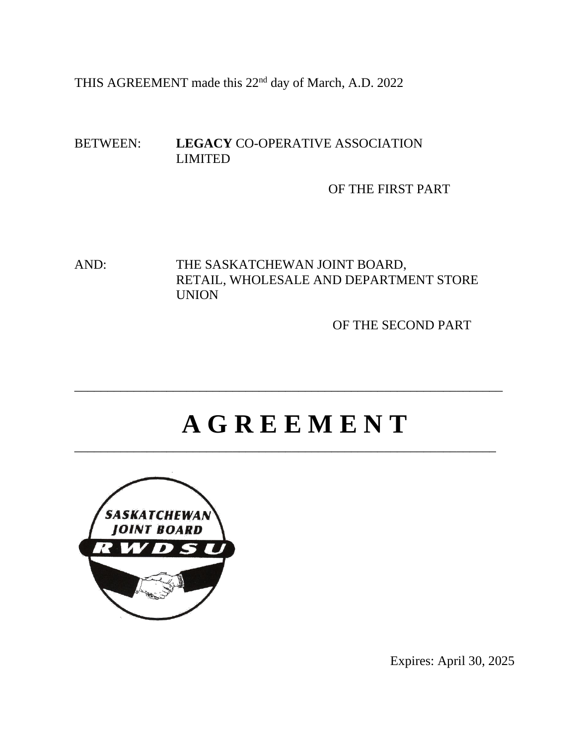THIS AGREEMENT made this 22nd day of March, A.D. 2022

### BETWEEN: **LEGACY** CO-OPERATIVE ASSOCIATION LIMITED

OF THE FIRST PART

AND: THE SASKATCHEWAN JOINT BOARD, RETAIL, WHOLESALE AND DEPARTMENT STORE UNION

OF THE SECOND PART

# **A G R E E M E N T**

\_\_\_\_\_\_\_\_\_\_\_\_\_\_\_\_\_\_\_\_\_\_\_\_\_\_\_\_\_\_\_\_\_\_\_\_\_\_\_\_\_\_\_\_\_\_\_\_\_\_\_\_\_\_\_\_\_\_\_\_\_\_\_\_

\_\_\_\_\_\_\_\_\_\_\_\_\_\_\_\_\_\_\_\_\_\_\_\_\_\_\_\_\_\_\_\_\_\_\_\_\_\_\_\_\_\_\_\_\_\_\_\_\_\_\_\_\_\_\_\_\_\_\_\_\_\_\_\_\_



Expires: April 30, 2025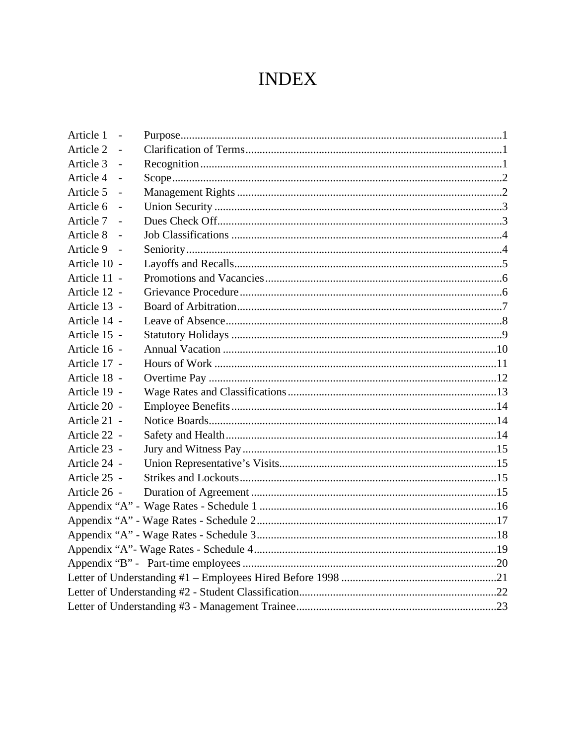# **INDEX**

| Article 1<br>$\sim$         |  |
|-----------------------------|--|
| Article 2                   |  |
| Article 3<br>$\sim$         |  |
| Article 4                   |  |
| Article 5                   |  |
| Article 6<br>$\overline{a}$ |  |
| Article 7                   |  |
| Article 8<br>$\sim$         |  |
| Article 9                   |  |
| Article 10 -                |  |
| Article 11 -                |  |
| Article 12 -                |  |
| Article 13 -                |  |
| Article 14 -                |  |
| Article 15 -                |  |
| Article 16 -                |  |
| Article 17 -                |  |
| Article 18 -                |  |
| Article 19 -                |  |
| Article 20 -                |  |
| Article 21 -                |  |
| Article 22 -                |  |
| Article 23 -                |  |
| Article 24 -                |  |
| Article 25 -                |  |
| Article 26 -                |  |
|                             |  |
|                             |  |
|                             |  |
|                             |  |
|                             |  |
|                             |  |
|                             |  |
|                             |  |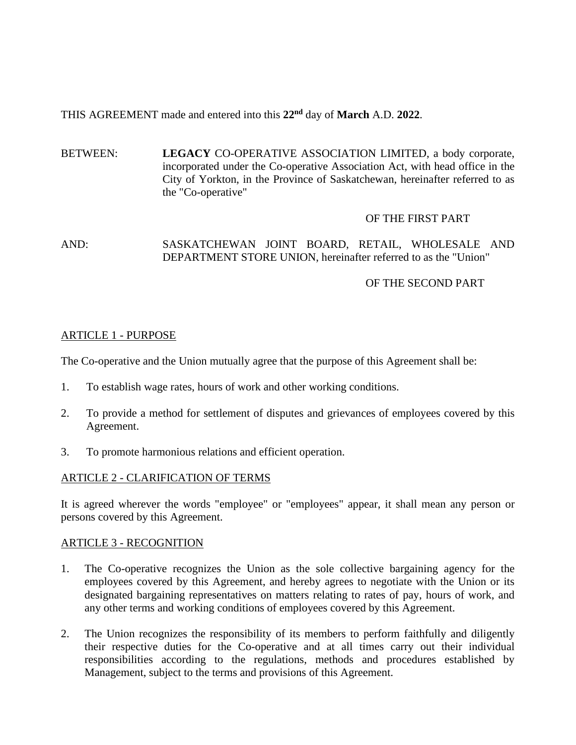## THIS AGREEMENT made and entered into this **22nd** day of **March** A.D. **2022**.

BETWEEN: **LEGACY** CO-OPERATIVE ASSOCIATION LIMITED, a body corporate, incorporated under the Co-operative Association Act, with head office in the City of Yorkton, in the Province of Saskatchewan, hereinafter referred to as the "Co-operative"

#### OF THE FIRST PART

#### AND: SASKATCHEWAN JOINT BOARD, RETAIL, WHOLESALE AND DEPARTMENT STORE UNION, hereinafter referred to as the "Union"

#### OF THE SECOND PART

#### ARTICLE 1 - PURPOSE

The Co-operative and the Union mutually agree that the purpose of this Agreement shall be:

- 1. To establish wage rates, hours of work and other working conditions.
- 2. To provide a method for settlement of disputes and grievances of employees covered by this Agreement.
- 3. To promote harmonious relations and efficient operation.

#### ARTICLE 2 - CLARIFICATION OF TERMS

It is agreed wherever the words "employee" or "employees" appear, it shall mean any person or persons covered by this Agreement.

#### ARTICLE 3 - RECOGNITION

- 1. The Co-operative recognizes the Union as the sole collective bargaining agency for the employees covered by this Agreement, and hereby agrees to negotiate with the Union or its designated bargaining representatives on matters relating to rates of pay, hours of work, and any other terms and working conditions of employees covered by this Agreement.
- 2. The Union recognizes the responsibility of its members to perform faithfully and diligently their respective duties for the Co-operative and at all times carry out their individual responsibilities according to the regulations, methods and procedures established by Management, subject to the terms and provisions of this Agreement.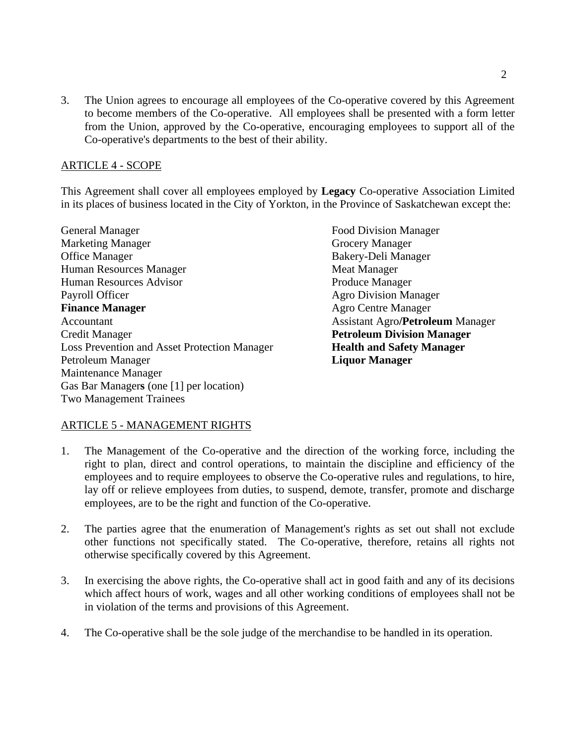3. The Union agrees to encourage all employees of the Co-operative covered by this Agreement to become members of the Co-operative. All employees shall be presented with a form letter from the Union, approved by the Co-operative, encouraging employees to support all of the Co-operative's departments to the best of their ability.

#### ARTICLE 4 - SCOPE

This Agreement shall cover all employees employed by **Legacy** Co-operative Association Limited in its places of business located in the City of Yorkton, in the Province of Saskatchewan except the:

General Manager Food Division Manager Marketing Manager Grocery Manager<br>
Office Manager Bakery-Deli Mana Human Resources Manager Meat Manager Human Resources Advisor **Produce Manager** Payroll Officer<br> **Payroll Officer**<br> **Payroll Officer**<br> **Payroll Officer**<br> **Payroll Officer**<br>
Agro Centre Manager<br>
Agro Centre Manager Accountant Assistant Agro**/Petroleum** Manager Credit Manager **Petroleum Division Manager** Loss Prevention and Asset Protection Manager **Health and Safety Manager** Petroleum Manager **Liquor Manager** Maintenance Manager Gas Bar Manager**s** (one [1] per location) Two Management Trainees

Bakery-Deli Manager **Agro Centre Manager** 

#### ARTICLE 5 - MANAGEMENT RIGHTS

- 1. The Management of the Co-operative and the direction of the working force, including the right to plan, direct and control operations, to maintain the discipline and efficiency of the employees and to require employees to observe the Co-operative rules and regulations, to hire, lay off or relieve employees from duties, to suspend, demote, transfer, promote and discharge employees, are to be the right and function of the Co-operative.
- 2. The parties agree that the enumeration of Management's rights as set out shall not exclude other functions not specifically stated. The Co-operative, therefore, retains all rights not otherwise specifically covered by this Agreement.
- 3. In exercising the above rights, the Co-operative shall act in good faith and any of its decisions which affect hours of work, wages and all other working conditions of employees shall not be in violation of the terms and provisions of this Agreement.
- 4. The Co-operative shall be the sole judge of the merchandise to be handled in its operation.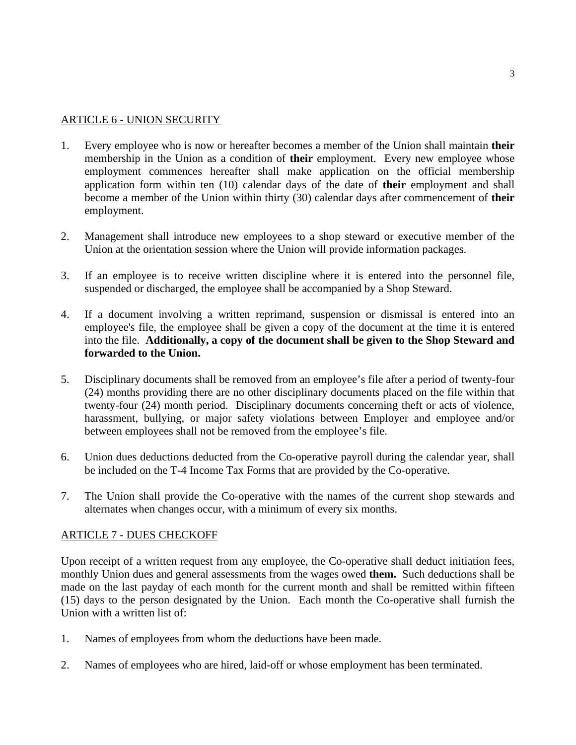#### ARTICLE 6 - UNION SECURITY

- 1. Every employee who is now or hereafter becomes a member of the Union shall maintain **their** membership in the Union as a condition of **their** employment. Every new employee whose employment commences hereafter shall make application on the official membership application form within ten (10) calendar days of the date of **their** employment and shall become a member of the Union within thirty (30) calendar days after commencement of **their** employment.
- 2. Management shall introduce new employees to a shop steward or executive member of the Union at the orientation session where the Union will provide information packages.
- 3. If an employee is to receive written discipline where it is entered into the personnel file, suspended or discharged, the employee shall be accompanied by a Shop Steward.
- 4. If a document involving a written reprimand, suspension or dismissal is entered into an employee's file, the employee shall be given a copy of the document at the time it is entered into the file. **Additionally, a copy of the document shall be given to the Shop Steward and forwarded to the Union.**
- 5. Disciplinary documents shall be removed from an employee's file after a period of twenty-four (24) months providing there are no other disciplinary documents placed on the file within that twenty-four (24) month period. Disciplinary documents concerning theft or acts of violence, harassment, bullying, or major safety violations between Employer and employee and/or between employees shall not be removed from the employee's file.
- 6. Union dues deductions deducted from the Co-operative payroll during the calendar year, shall be included on the T-4 Income Tax Forms that are provided by the Co-operative.
- 7. The Union shall provide the Co-operative with the names of the current shop stewards and alternates when changes occur, with a minimum of every six months.

#### ARTICLE 7 - DUES CHECKOFF

Upon receipt of a written request from any employee, the Co-operative shall deduct initiation fees, monthly Union dues and general assessments from the wages owed **them.** Such deductions shall be made on the last payday of each month for the current month and shall be remitted within fifteen (15) days to the person designated by the Union. Each month the Co-operative shall furnish the Union with a written list of:

- 1. Names of employees from whom the deductions have been made.
- 2. Names of employees who are hired, laid-off or whose employment has been terminated.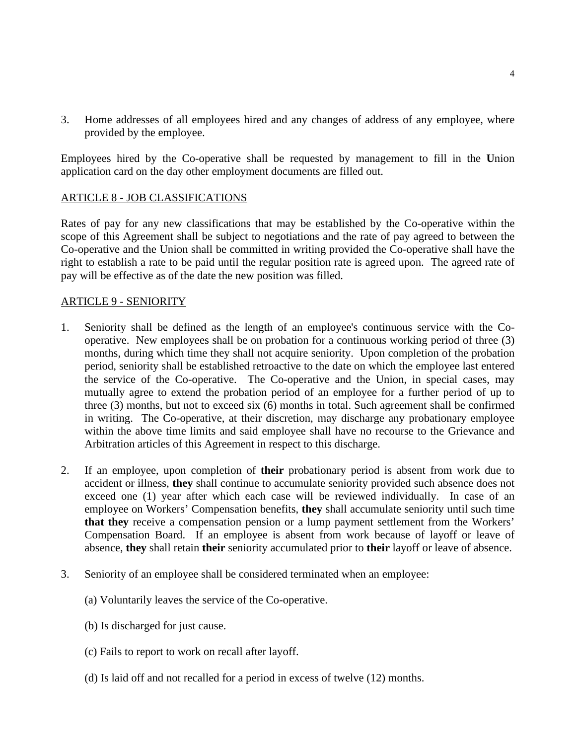3. Home addresses of all employees hired and any changes of address of any employee, where provided by the employee.

Employees hired by the Co-operative shall be requested by management to fill in the **U**nion application card on the day other employment documents are filled out.

#### ARTICLE 8 - JOB CLASSIFICATIONS

Rates of pay for any new classifications that may be established by the Co-operative within the scope of this Agreement shall be subject to negotiations and the rate of pay agreed to between the Co-operative and the Union shall be committed in writing provided the Co-operative shall have the right to establish a rate to be paid until the regular position rate is agreed upon. The agreed rate of pay will be effective as of the date the new position was filled.

#### ARTICLE 9 - SENIORITY

- 1. Seniority shall be defined as the length of an employee's continuous service with the Cooperative. New employees shall be on probation for a continuous working period of three (3) months, during which time they shall not acquire seniority. Upon completion of the probation period, seniority shall be established retroactive to the date on which the employee last entered the service of the Co-operative. The Co-operative and the Union, in special cases, may mutually agree to extend the probation period of an employee for a further period of up to three (3) months, but not to exceed six (6) months in total. Such agreement shall be confirmed in writing. The Co-operative, at their discretion, may discharge any probationary employee within the above time limits and said employee shall have no recourse to the Grievance and Arbitration articles of this Agreement in respect to this discharge.
- 2. If an employee, upon completion of **their** probationary period is absent from work due to accident or illness, **they** shall continue to accumulate seniority provided such absence does not exceed one (1) year after which each case will be reviewed individually. In case of an employee on Workers' Compensation benefits, **they** shall accumulate seniority until such time **that they** receive a compensation pension or a lump payment settlement from the Workers' Compensation Board. If an employee is absent from work because of layoff or leave of absence, **they** shall retain **their** seniority accumulated prior to **their** layoff or leave of absence.
- 3. Seniority of an employee shall be considered terminated when an employee:
	- (a) Voluntarily leaves the service of the Co-operative.
	- (b) Is discharged for just cause.
	- (c) Fails to report to work on recall after layoff.
	- (d) Is laid off and not recalled for a period in excess of twelve (12) months.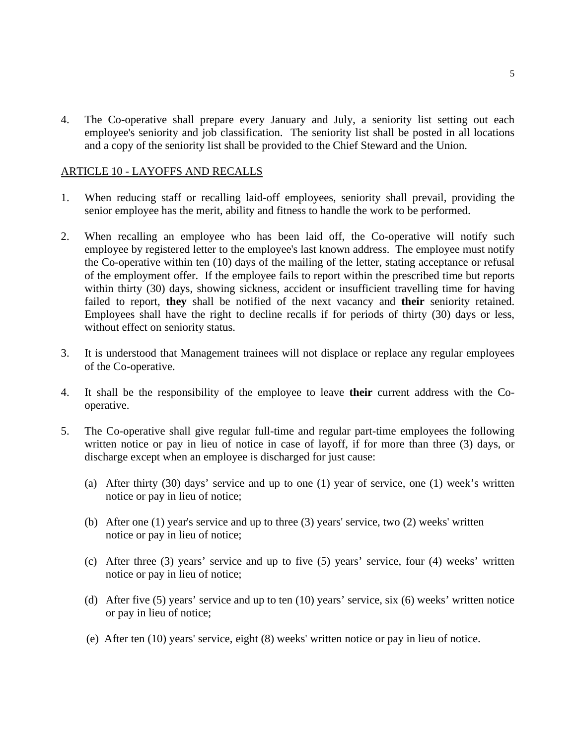4. The Co-operative shall prepare every January and July, a seniority list setting out each employee's seniority and job classification. The seniority list shall be posted in all locations and a copy of the seniority list shall be provided to the Chief Steward and the Union.

#### ARTICLE 10 - LAYOFFS AND RECALLS

- 1. When reducing staff or recalling laid-off employees, seniority shall prevail, providing the senior employee has the merit, ability and fitness to handle the work to be performed.
- 2. When recalling an employee who has been laid off, the Co-operative will notify such employee by registered letter to the employee's last known address. The employee must notify the Co-operative within ten (10) days of the mailing of the letter, stating acceptance or refusal of the employment offer. If the employee fails to report within the prescribed time but reports within thirty (30) days, showing sickness, accident or insufficient travelling time for having failed to report, **they** shall be notified of the next vacancy and **their** seniority retained. Employees shall have the right to decline recalls if for periods of thirty (30) days or less, without effect on seniority status.
- 3. It is understood that Management trainees will not displace or replace any regular employees of the Co-operative.
- 4. It shall be the responsibility of the employee to leave **their** current address with the Cooperative.
- 5. The Co-operative shall give regular full-time and regular part-time employees the following written notice or pay in lieu of notice in case of layoff, if for more than three (3) days, or discharge except when an employee is discharged for just cause:
	- (a) After thirty (30) days' service and up to one (1) year of service, one (1) week's written notice or pay in lieu of notice;
	- (b) After one (1) year's service and up to three (3) years' service, two (2) weeks' written notice or pay in lieu of notice;
	- (c) After three (3) years' service and up to five (5) years' service, four (4) weeks' written notice or pay in lieu of notice;
	- (d) After five (5) years' service and up to ten (10) years' service, six (6) weeks' written notice or pay in lieu of notice;
	- (e) After ten (10) years' service, eight (8) weeks' written notice or pay in lieu of notice.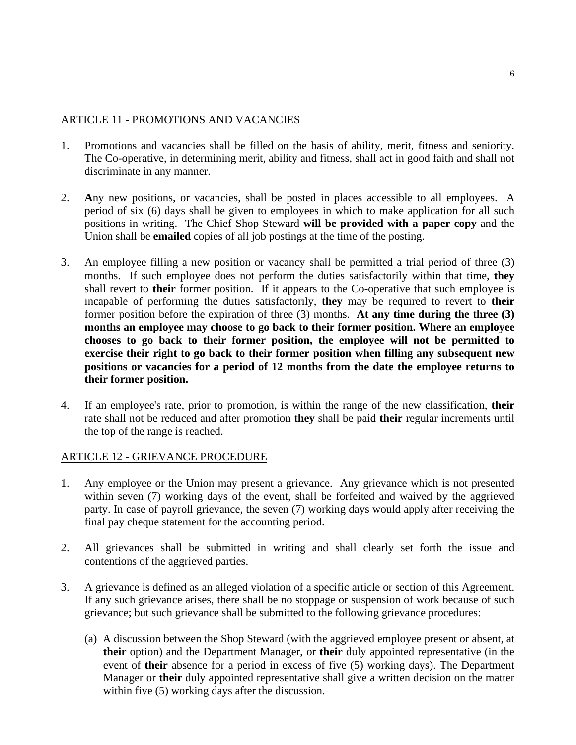#### ARTICLE 11 - PROMOTIONS AND VACANCIES

- 1. Promotions and vacancies shall be filled on the basis of ability, merit, fitness and seniority. The Co-operative, in determining merit, ability and fitness, shall act in good faith and shall not discriminate in any manner.
- 2. **A**ny new positions, or vacancies, shall be posted in places accessible to all employees. A period of six (6) days shall be given to employees in which to make application for all such positions in writing. The Chief Shop Steward **will be provided with a paper copy** and the Union shall be **emailed** copies of all job postings at the time of the posting.
- 3. An employee filling a new position or vacancy shall be permitted a trial period of three (3) months. If such employee does not perform the duties satisfactorily within that time, **they** shall revert to **their** former position. If it appears to the Co-operative that such employee is incapable of performing the duties satisfactorily, **they** may be required to revert to **their** former position before the expiration of three (3) months. **At any time during the three (3) months an employee may choose to go back to their former position. Where an employee chooses to go back to their former position, the employee will not be permitted to exercise their right to go back to their former position when filling any subsequent new positions or vacancies for a period of 12 months from the date the employee returns to their former position.**
- 4. If an employee's rate, prior to promotion, is within the range of the new classification, **their** rate shall not be reduced and after promotion **they** shall be paid **their** regular increments until the top of the range is reached.

#### ARTICLE 12 - GRIEVANCE PROCEDURE

- 1. Any employee or the Union may present a grievance. Any grievance which is not presented within seven (7) working days of the event, shall be forfeited and waived by the aggrieved party. In case of payroll grievance, the seven (7) working days would apply after receiving the final pay cheque statement for the accounting period.
- 2. All grievances shall be submitted in writing and shall clearly set forth the issue and contentions of the aggrieved parties.
- 3. A grievance is defined as an alleged violation of a specific article or section of this Agreement. If any such grievance arises, there shall be no stoppage or suspension of work because of such grievance; but such grievance shall be submitted to the following grievance procedures:
	- (a) A discussion between the Shop Steward (with the aggrieved employee present or absent, at **their** option) and the Department Manager, or **their** duly appointed representative (in the event of **their** absence for a period in excess of five (5) working days). The Department Manager or **their** duly appointed representative shall give a written decision on the matter within five (5) working days after the discussion.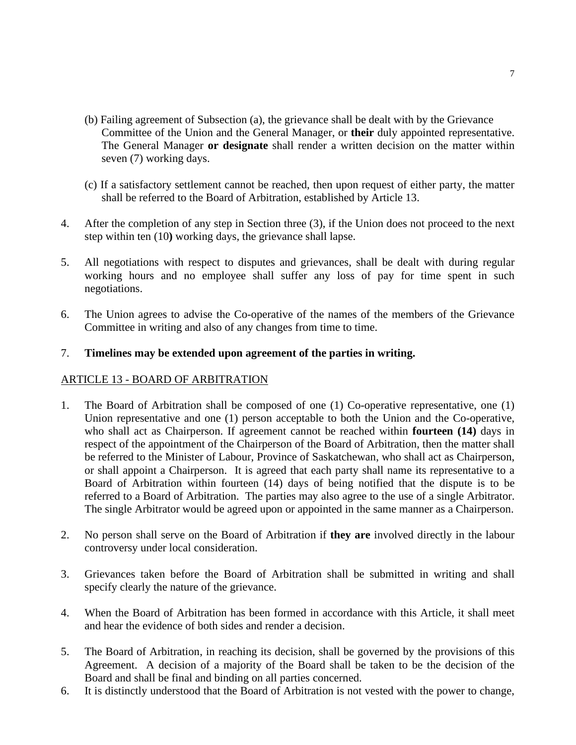- (b) Failing agreement of Subsection (a), the grievance shall be dealt with by the Grievance Committee of the Union and the General Manager, or **their** duly appointed representative. The General Manager **or designate** shall render a written decision on the matter within seven (7) working days.
- (c) If a satisfactory settlement cannot be reached, then upon request of either party, the matter shall be referred to the Board of Arbitration, established by Article 13.
- 4. After the completion of any step in Section three (3), if the Union does not proceed to the next step within ten (10**)** working days, the grievance shall lapse.
- 5. All negotiations with respect to disputes and grievances, shall be dealt with during regular working hours and no employee shall suffer any loss of pay for time spent in such negotiations.
- 6. The Union agrees to advise the Co-operative of the names of the members of the Grievance Committee in writing and also of any changes from time to time.

#### 7. **Timelines may be extended upon agreement of the parties in writing.**

#### ARTICLE 13 - BOARD OF ARBITRATION

- 1. The Board of Arbitration shall be composed of one (1) Co-operative representative, one (1) Union representative and one (1) person acceptable to both the Union and the Co-operative, who shall act as Chairperson. If agreement cannot be reached within **fourteen (14)** days in respect of the appointment of the Chairperson of the Board of Arbitration, then the matter shall be referred to the Minister of Labour, Province of Saskatchewan, who shall act as Chairperson, or shall appoint a Chairperson. It is agreed that each party shall name its representative to a Board of Arbitration within fourteen (14) days of being notified that the dispute is to be referred to a Board of Arbitration. The parties may also agree to the use of a single Arbitrator. The single Arbitrator would be agreed upon or appointed in the same manner as a Chairperson.
- 2. No person shall serve on the Board of Arbitration if **they are** involved directly in the labour controversy under local consideration.
- 3. Grievances taken before the Board of Arbitration shall be submitted in writing and shall specify clearly the nature of the grievance.
- 4. When the Board of Arbitration has been formed in accordance with this Article, it shall meet and hear the evidence of both sides and render a decision.
- 5. The Board of Arbitration, in reaching its decision, shall be governed by the provisions of this Agreement. A decision of a majority of the Board shall be taken to be the decision of the Board and shall be final and binding on all parties concerned.
- 6. It is distinctly understood that the Board of Arbitration is not vested with the power to change,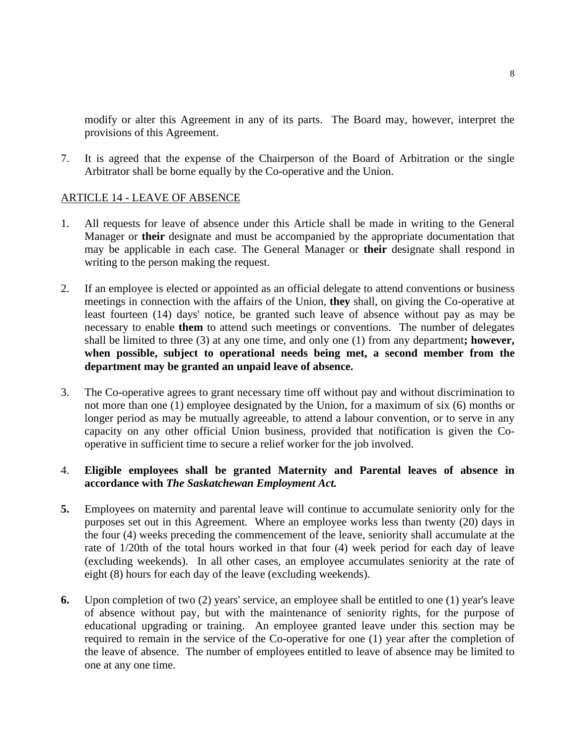modify or alter this Agreement in any of its parts. The Board may, however, interpret the provisions of this Agreement.

7. It is agreed that the expense of the Chairperson of the Board of Arbitration or the single Arbitrator shall be borne equally by the Co-operative and the Union.

#### ARTICLE 14 - LEAVE OF ABSENCE

- 1. All requests for leave of absence under this Article shall be made in writing to the General Manager or **their** designate and must be accompanied by the appropriate documentation that may be applicable in each case. The General Manager or **their** designate shall respond in writing to the person making the request.
- 2. If an employee is elected or appointed as an official delegate to attend conventions or business meetings in connection with the affairs of the Union, **they** shall, on giving the Co-operative at least fourteen (14) days' notice, be granted such leave of absence without pay as may be necessary to enable **them** to attend such meetings or conventions. The number of delegates shall be limited to three (3) at any one time, and only one (1) from any department**; however, when possible, subject to operational needs being met, a second member from the department may be granted an unpaid leave of absence.**
- 3. The Co-operative agrees to grant necessary time off without pay and without discrimination to not more than one (1) employee designated by the Union, for a maximum of six (6) months or longer period as may be mutually agreeable, to attend a labour convention, or to serve in any capacity on any other official Union business, provided that notification is given the Cooperative in sufficient time to secure a relief worker for the job involved.

#### 4. **Eligible employees shall be granted Maternity and Parental leaves of absence in accordance with** *The Saskatchewan Employment Act.*

- **5.** Employees on maternity and parental leave will continue to accumulate seniority only for the purposes set out in this Agreement. Where an employee works less than twenty (20) days in the four (4) weeks preceding the commencement of the leave, seniority shall accumulate at the rate of 1/20th of the total hours worked in that four (4) week period for each day of leave (excluding weekends). In all other cases, an employee accumulates seniority at the rate of eight (8) hours for each day of the leave (excluding weekends).
- **6.** Upon completion of two (2) years' service, an employee shall be entitled to one (1) year's leave of absence without pay, but with the maintenance of seniority rights, for the purpose of educational upgrading or training. An employee granted leave under this section may be required to remain in the service of the Co-operative for one (1) year after the completion of the leave of absence. The number of employees entitled to leave of absence may be limited to one at any one time.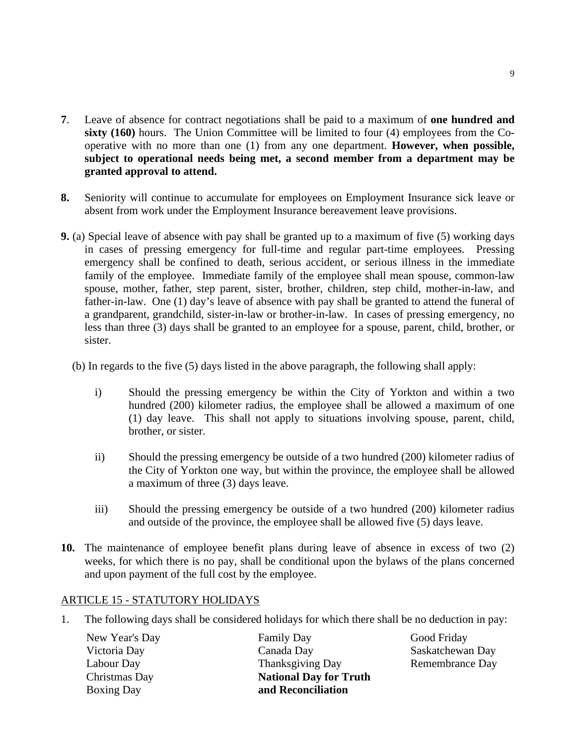- **7**. Leave of absence for contract negotiations shall be paid to a maximum of **one hundred and sixty** (160) hours. The Union Committee will be limited to four (4) employees from the Cooperative with no more than one (1) from any one department. **However, when possible, subject to operational needs being met, a second member from a department may be granted approval to attend.**
- **8.** Seniority will continue to accumulate for employees on Employment Insurance sick leave or absent from work under the Employment Insurance bereavement leave provisions.
- **9.** (a) Special leave of absence with pay shall be granted up to a maximum of five (5) working days in cases of pressing emergency for full-time and regular part-time employees. Pressing emergency shall be confined to death, serious accident, or serious illness in the immediate family of the employee. Immediate family of the employee shall mean spouse, common-law spouse, mother, father, step parent, sister, brother, children, step child, mother-in-law, and father-in-law. One (1) day's leave of absence with pay shall be granted to attend the funeral of a grandparent, grandchild, sister-in-law or brother-in-law. In cases of pressing emergency, no less than three (3) days shall be granted to an employee for a spouse, parent, child, brother, or sister.
	- (b) In regards to the five (5) days listed in the above paragraph, the following shall apply:
		- i) Should the pressing emergency be within the City of Yorkton and within a two hundred (200) kilometer radius, the employee shall be allowed a maximum of one (1) day leave. This shall not apply to situations involving spouse, parent, child, brother, or sister.
		- ii) Should the pressing emergency be outside of a two hundred (200) kilometer radius of the City of Yorkton one way, but within the province, the employee shall be allowed a maximum of three (3) days leave.
		- iii) Should the pressing emergency be outside of a two hundred (200) kilometer radius and outside of the province, the employee shall be allowed five (5) days leave.
- **10.** The maintenance of employee benefit plans during leave of absence in excess of two (2) weeks, for which there is no pay, shall be conditional upon the bylaws of the plans concerned and upon payment of the full cost by the employee.

#### ARTICLE 15 - STATUTORY HOLIDAYS

1. The following days shall be considered holidays for which there shall be no deduction in pay:

| New Year's Day    | <b>Family Day</b>             | Good Friday      |
|-------------------|-------------------------------|------------------|
| Victoria Day      | Canada Day                    | Saskatchewan Day |
| Labour Day        | <b>Thanksgiving Day</b>       | Remembrance Day  |
| Christmas Day     | <b>National Day for Truth</b> |                  |
| <b>Boxing Day</b> | and Reconciliation            |                  |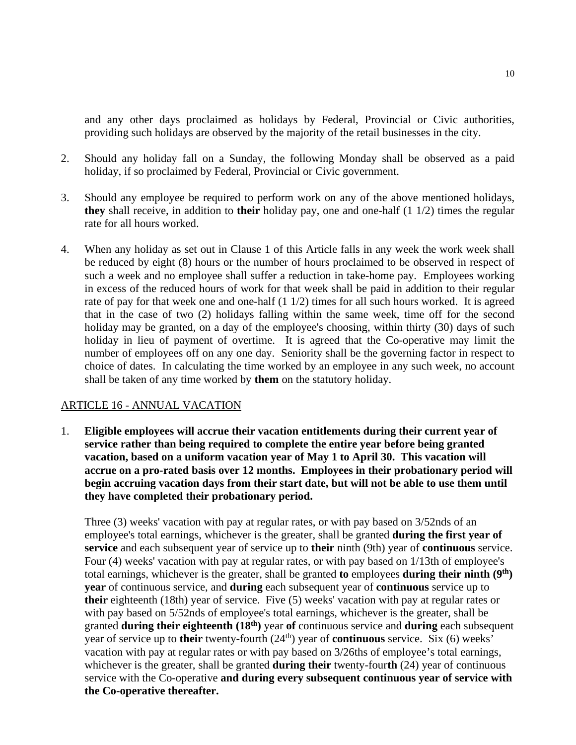and any other days proclaimed as holidays by Federal, Provincial or Civic authorities, providing such holidays are observed by the majority of the retail businesses in the city.

- 2. Should any holiday fall on a Sunday, the following Monday shall be observed as a paid holiday, if so proclaimed by Federal, Provincial or Civic government.
- 3. Should any employee be required to perform work on any of the above mentioned holidays, **they** shall receive, in addition to **their** holiday pay, one and one-half (1 1/2) times the regular rate for all hours worked.
- 4. When any holiday as set out in Clause 1 of this Article falls in any week the work week shall be reduced by eight (8) hours or the number of hours proclaimed to be observed in respect of such a week and no employee shall suffer a reduction in take-home pay. Employees working in excess of the reduced hours of work for that week shall be paid in addition to their regular rate of pay for that week one and one-half (1 1/2) times for all such hours worked. It is agreed that in the case of two (2) holidays falling within the same week, time off for the second holiday may be granted, on a day of the employee's choosing, within thirty (30) days of such holiday in lieu of payment of overtime. It is agreed that the Co-operative may limit the number of employees off on any one day. Seniority shall be the governing factor in respect to choice of dates. In calculating the time worked by an employee in any such week, no account shall be taken of any time worked by **them** on the statutory holiday.

#### ARTICLE 16 - ANNUAL VACATION

1. **Eligible employees will accrue their vacation entitlements during their current year of service rather than being required to complete the entire year before being granted vacation, based on a uniform vacation year of May 1 to April 30. This vacation will accrue on a pro-rated basis over 12 months. Employees in their probationary period will begin accruing vacation days from their start date, but will not be able to use them until they have completed their probationary period.** 

Three (3) weeks' vacation with pay at regular rates, or with pay based on 3/52nds of an employee's total earnings, whichever is the greater, shall be granted **during the first year of service** and each subsequent year of service up to **their** ninth (9th) year of **continuous** service. Four (4) weeks' vacation with pay at regular rates, or with pay based on 1/13th of employee's total earnings, whichever is the greater, shall be granted **to** employees **during their ninth (9th) year** of continuous service, and **during** each subsequent year of **continuous** service up to **their** eighteenth (18th) year of service. Five (5) weeks' vacation with pay at regular rates or with pay based on 5/52nds of employee's total earnings, whichever is the greater, shall be granted **during their eighteenth (18th)** year **of** continuous service and **during** each subsequent year of service up to **their** twenty-fourth (24<sup>th</sup>) year of **continuous** service. Six (6) weeks<sup>7</sup> vacation with pay at regular rates or with pay based on 3/26ths of employee's total earnings, whichever is the greater, shall be granted **during their** twenty-four**th** (24) year of continuous service with the Co-operative **and during every subsequent continuous year of service with the Co-operative thereafter.**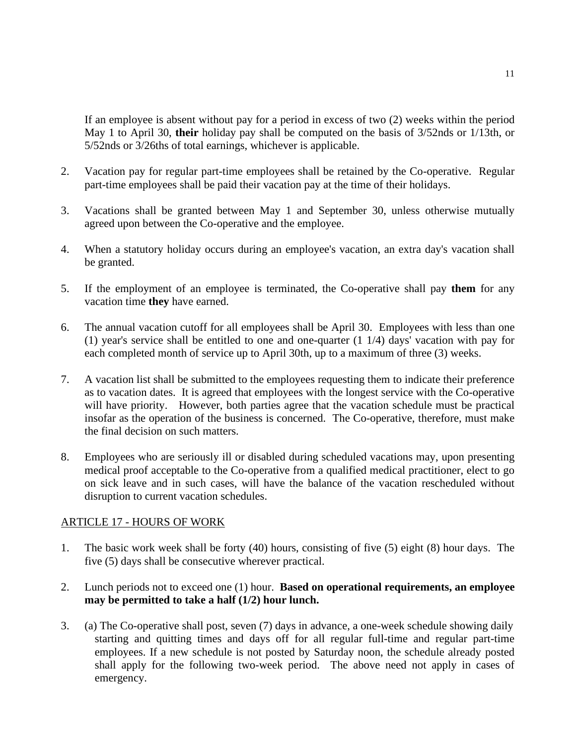If an employee is absent without pay for a period in excess of two (2) weeks within the period May 1 to April 30, **their** holiday pay shall be computed on the basis of 3/52nds or 1/13th, or 5/52nds or 3/26ths of total earnings, whichever is applicable.

- 2. Vacation pay for regular part-time employees shall be retained by the Co-operative. Regular part-time employees shall be paid their vacation pay at the time of their holidays.
- 3. Vacations shall be granted between May 1 and September 30, unless otherwise mutually agreed upon between the Co-operative and the employee.
- 4. When a statutory holiday occurs during an employee's vacation, an extra day's vacation shall be granted.
- 5. If the employment of an employee is terminated, the Co-operative shall pay **them** for any vacation time **they** have earned.
- 6. The annual vacation cutoff for all employees shall be April 30. Employees with less than one (1) year's service shall be entitled to one and one-quarter (1 1/4) days' vacation with pay for each completed month of service up to April 30th, up to a maximum of three (3) weeks.
- 7. A vacation list shall be submitted to the employees requesting them to indicate their preference as to vacation dates. It is agreed that employees with the longest service with the Co-operative will have priority. However, both parties agree that the vacation schedule must be practical insofar as the operation of the business is concerned. The Co-operative, therefore, must make the final decision on such matters.
- 8. Employees who are seriously ill or disabled during scheduled vacations may, upon presenting medical proof acceptable to the Co-operative from a qualified medical practitioner, elect to go on sick leave and in such cases, will have the balance of the vacation rescheduled without disruption to current vacation schedules.

#### ARTICLE 17 - HOURS OF WORK

- 1. The basic work week shall be forty (40) hours, consisting of five (5) eight (8) hour days. The five (5) days shall be consecutive wherever practical.
- 2. Lunch periods not to exceed one (1) hour. **Based on operational requirements, an employee may be permitted to take a half (1/2) hour lunch.**
- 3. (a) The Co-operative shall post, seven (7) days in advance, a one-week schedule showing daily starting and quitting times and days off for all regular full-time and regular part-time employees. If a new schedule is not posted by Saturday noon, the schedule already posted shall apply for the following two-week period. The above need not apply in cases of emergency.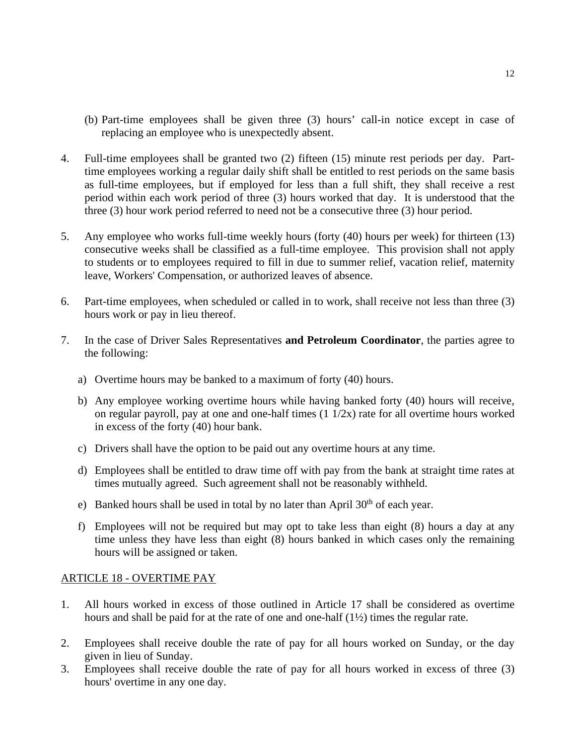- (b) Part-time employees shall be given three (3) hours' call-in notice except in case of replacing an employee who is unexpectedly absent.
- 4. Full-time employees shall be granted two (2) fifteen (15) minute rest periods per day. Parttime employees working a regular daily shift shall be entitled to rest periods on the same basis as full-time employees, but if employed for less than a full shift, they shall receive a rest period within each work period of three (3) hours worked that day. It is understood that the three (3) hour work period referred to need not be a consecutive three (3) hour period.
- 5. Any employee who works full-time weekly hours (forty (40) hours per week) for thirteen (13) consecutive weeks shall be classified as a full-time employee. This provision shall not apply to students or to employees required to fill in due to summer relief, vacation relief, maternity leave, Workers' Compensation, or authorized leaves of absence.
- 6. Part-time employees, when scheduled or called in to work, shall receive not less than three (3) hours work or pay in lieu thereof.
- 7. In the case of Driver Sales Representatives **and Petroleum Coordinator**, the parties agree to the following:
	- a) Overtime hours may be banked to a maximum of forty (40) hours.
	- b) Any employee working overtime hours while having banked forty (40) hours will receive, on regular payroll, pay at one and one-half times  $(1 1/2x)$  rate for all overtime hours worked in excess of the forty (40) hour bank.
	- c) Drivers shall have the option to be paid out any overtime hours at any time.
	- d) Employees shall be entitled to draw time off with pay from the bank at straight time rates at times mutually agreed. Such agreement shall not be reasonably withheld.
	- e) Banked hours shall be used in total by no later than April  $30<sup>th</sup>$  of each year.
	- f) Employees will not be required but may opt to take less than eight (8) hours a day at any time unless they have less than eight (8) hours banked in which cases only the remaining hours will be assigned or taken.

#### ARTICLE 18 - OVERTIME PAY

- 1. All hours worked in excess of those outlined in Article 17 shall be considered as overtime hours and shall be paid for at the rate of one and one-half  $(1/2)$  times the regular rate.
- 2. Employees shall receive double the rate of pay for all hours worked on Sunday, or the day given in lieu of Sunday.
- 3. Employees shall receive double the rate of pay for all hours worked in excess of three (3) hours' overtime in any one day.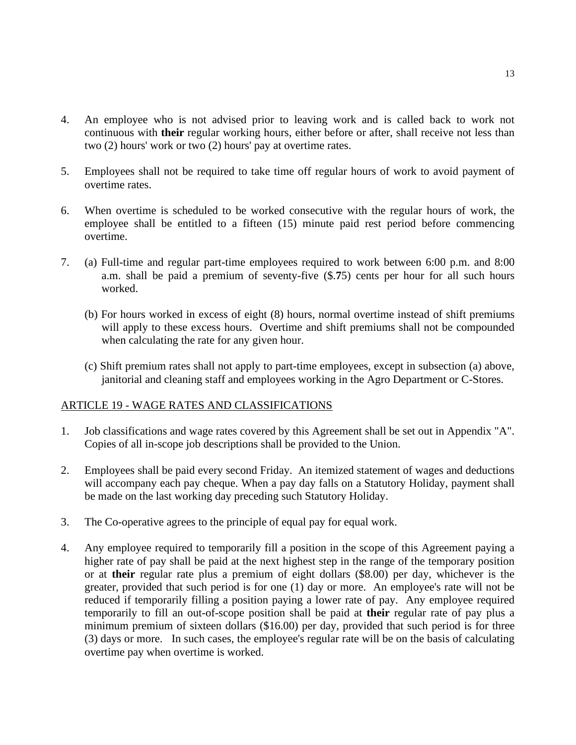- 4. An employee who is not advised prior to leaving work and is called back to work not continuous with **their** regular working hours, either before or after, shall receive not less than two (2) hours' work or two (2) hours' pay at overtime rates.
- 5. Employees shall not be required to take time off regular hours of work to avoid payment of overtime rates.
- 6. When overtime is scheduled to be worked consecutive with the regular hours of work, the employee shall be entitled to a fifteen (15) minute paid rest period before commencing overtime.
- 7. (a) Full-time and regular part-time employees required to work between 6:00 p.m. and 8:00 a.m. shall be paid a premium of seventy-five (\$.**7**5) cents per hour for all such hours worked.
	- (b) For hours worked in excess of eight (8) hours, normal overtime instead of shift premiums will apply to these excess hours. Overtime and shift premiums shall not be compounded when calculating the rate for any given hour.
	- (c) Shift premium rates shall not apply to part-time employees, except in subsection (a) above, janitorial and cleaning staff and employees working in the Agro Department or C-Stores.

#### ARTICLE 19 - WAGE RATES AND CLASSIFICATIONS

- 1. Job classifications and wage rates covered by this Agreement shall be set out in Appendix "A". Copies of all in-scope job descriptions shall be provided to the Union.
- 2. Employees shall be paid every second Friday. An itemized statement of wages and deductions will accompany each pay cheque. When a pay day falls on a Statutory Holiday, payment shall be made on the last working day preceding such Statutory Holiday.
- 3. The Co-operative agrees to the principle of equal pay for equal work.
- 4. Any employee required to temporarily fill a position in the scope of this Agreement paying a higher rate of pay shall be paid at the next highest step in the range of the temporary position or at **their** regular rate plus a premium of eight dollars (\$8.00) per day, whichever is the greater, provided that such period is for one (1) day or more. An employee's rate will not be reduced if temporarily filling a position paying a lower rate of pay. Any employee required temporarily to fill an out-of-scope position shall be paid at **their** regular rate of pay plus a minimum premium of sixteen dollars (\$16.00) per day, provided that such period is for three (3) days or more. In such cases, the employee's regular rate will be on the basis of calculating overtime pay when overtime is worked.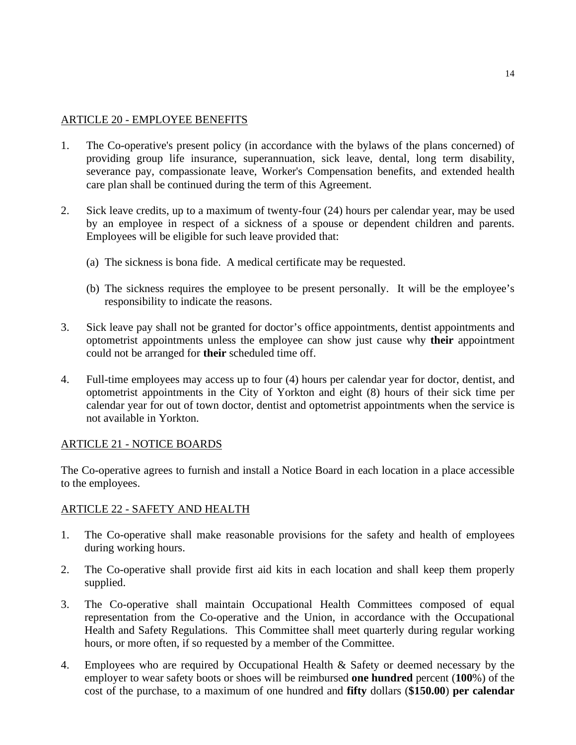#### ARTICLE 20 - EMPLOYEE BENEFITS

- 1. The Co-operative's present policy (in accordance with the bylaws of the plans concerned) of providing group life insurance, superannuation, sick leave, dental, long term disability, severance pay, compassionate leave, Worker's Compensation benefits, and extended health care plan shall be continued during the term of this Agreement.
- 2. Sick leave credits, up to a maximum of twenty-four (24) hours per calendar year, may be used by an employee in respect of a sickness of a spouse or dependent children and parents. Employees will be eligible for such leave provided that:
	- (a) The sickness is bona fide. A medical certificate may be requested.
	- (b) The sickness requires the employee to be present personally. It will be the employee's responsibility to indicate the reasons.
- 3. Sick leave pay shall not be granted for doctor's office appointments, dentist appointments and optometrist appointments unless the employee can show just cause why **their** appointment could not be arranged for **their** scheduled time off.
- 4. Full-time employees may access up to four (4) hours per calendar year for doctor, dentist, and optometrist appointments in the City of Yorkton and eight (8) hours of their sick time per calendar year for out of town doctor, dentist and optometrist appointments when the service is not available in Yorkton.

#### ARTICLE 21 - NOTICE BOARDS

The Co-operative agrees to furnish and install a Notice Board in each location in a place accessible to the employees.

#### ARTICLE 22 - SAFETY AND HEALTH

- 1. The Co-operative shall make reasonable provisions for the safety and health of employees during working hours.
- 2. The Co-operative shall provide first aid kits in each location and shall keep them properly supplied.
- 3. The Co-operative shall maintain Occupational Health Committees composed of equal representation from the Co-operative and the Union, in accordance with the Occupational Health and Safety Regulations.This Committee shall meet quarterly during regular working hours, or more often, if so requested by a member of the Committee.
- 4. Employees who are required by Occupational Health & Safety or deemed necessary by the employer to wear safety boots or shoes will be reimbursed **one hundred** percent (**100**%) of the cost of the purchase, to a maximum of one hundred and **fifty** dollars (**\$150.00**) **per calendar**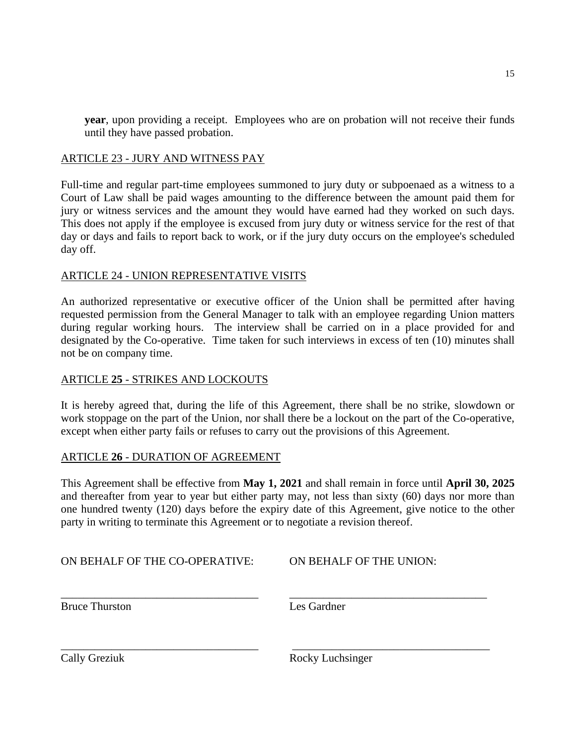**year**, upon providing a receipt. Employees who are on probation will not receive their funds until they have passed probation.

#### ARTICLE 23 - JURY AND WITNESS PAY

Full-time and regular part-time employees summoned to jury duty or subpoenaed as a witness to a Court of Law shall be paid wages amounting to the difference between the amount paid them for jury or witness services and the amount they would have earned had they worked on such days. This does not apply if the employee is excused from jury duty or witness service for the rest of that day or days and fails to report back to work, or if the jury duty occurs on the employee's scheduled day off.

#### ARTICLE 24 - UNION REPRESENTATIVE VISITS

An authorized representative or executive officer of the Union shall be permitted after having requested permission from the General Manager to talk with an employee regarding Union matters during regular working hours. The interview shall be carried on in a place provided for and designated by the Co-operative. Time taken for such interviews in excess of ten (10) minutes shall not be on company time.

#### ARTICLE **25** - STRIKES AND LOCKOUTS

It is hereby agreed that, during the life of this Agreement, there shall be no strike, slowdown or work stoppage on the part of the Union, nor shall there be a lockout on the part of the Co-operative, except when either party fails or refuses to carry out the provisions of this Agreement.

#### ARTICLE **26** - DURATION OF AGREEMENT

This Agreement shall be effective from **May 1, 2021** and shall remain in force until **April 30, 2025** and thereafter from year to year but either party may, not less than sixty (60) days nor more than one hundred twenty (120) days before the expiry date of this Agreement, give notice to the other party in writing to terminate this Agreement or to negotiate a revision thereof.

*\_\_\_\_\_\_\_\_\_\_\_\_\_\_\_\_\_\_\_\_\_\_\_\_\_\_\_\_\_\_\_\_\_\_\_ \_\_\_\_\_\_\_\_\_\_\_\_\_\_\_\_\_\_\_\_\_\_\_\_\_\_\_\_\_\_\_\_\_\_\_*

*\_\_\_\_\_\_\_\_\_\_\_\_\_\_\_\_\_\_\_\_\_\_\_\_\_\_\_\_\_\_\_\_\_\_\_ \_\_\_\_\_\_\_\_\_\_\_\_\_\_\_\_\_\_\_\_\_\_\_\_\_\_\_\_\_\_\_\_\_\_\_*

ON BEHALF OF THE CO-OPERATIVE: ON BEHALF OF THE UNION:

Bruce Thurston Les Gardner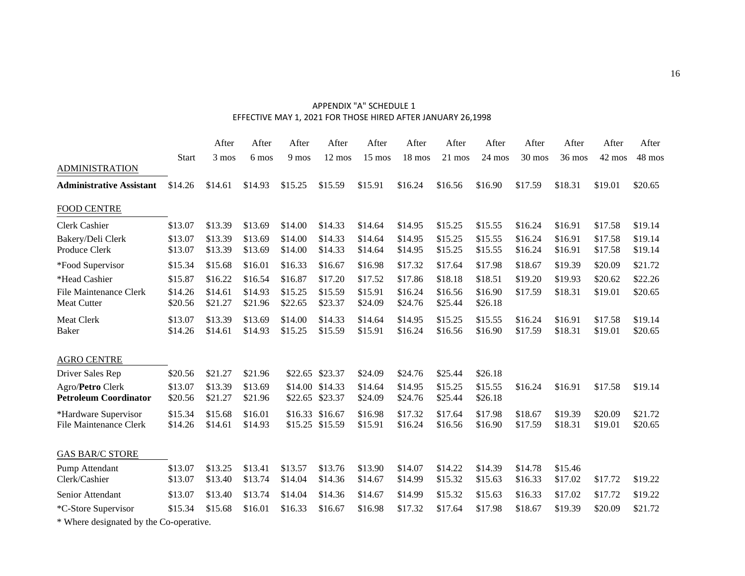#### APPENDIX "A" SCHEDULE 1 EFFECTIVE MAY 1, 2021 FOR THOSE HIRED AFTER JANUARY 26,1998

|                                                       |                    | After              | After              | After              | After                      | After              | After              | After              | After              | After              | After              | After              | After              |
|-------------------------------------------------------|--------------------|--------------------|--------------------|--------------------|----------------------------|--------------------|--------------------|--------------------|--------------------|--------------------|--------------------|--------------------|--------------------|
|                                                       | <b>Start</b>       | 3 mos              | 6 mos              | 9 mos              | $12 \text{ mos}$           | 15 mos             | 18 mos             | $21 \text{ mos}$   | $24 \text{ mos}$   | 30 mos             | 36 mos             | 42 mos             | 48 mos             |
| <b>ADMINISTRATION</b>                                 |                    |                    |                    |                    |                            |                    |                    |                    |                    |                    |                    |                    |                    |
| <b>Administrative Assistant</b>                       | \$14.26            | \$14.61            | \$14.93            | \$15.25            | \$15.59                    | \$15.91            | \$16.24            | \$16.56            | \$16.90            | \$17.59            | \$18.31            | \$19.01            | \$20.65            |
| <b>FOOD CENTRE</b>                                    |                    |                    |                    |                    |                            |                    |                    |                    |                    |                    |                    |                    |                    |
| Clerk Cashier                                         | \$13.07            | \$13.39            | \$13.69            | \$14.00            | \$14.33                    | \$14.64            | \$14.95            | \$15.25            | \$15.55            | \$16.24            | \$16.91            | \$17.58            | \$19.14            |
| Bakery/Deli Clerk<br>Produce Clerk                    | \$13.07<br>\$13.07 | \$13.39<br>\$13.39 | \$13.69<br>\$13.69 | \$14.00<br>\$14.00 | \$14.33<br>\$14.33         | \$14.64<br>\$14.64 | \$14.95<br>\$14.95 | \$15.25<br>\$15.25 | \$15.55<br>\$15.55 | \$16.24<br>\$16.24 | \$16.91<br>\$16.91 | \$17.58<br>\$17.58 | \$19.14<br>\$19.14 |
| *Food Supervisor                                      | \$15.34            | \$15.68            | \$16.01            | \$16.33            | \$16.67                    | \$16.98            | \$17.32            | \$17.64            | \$17.98            | \$18.67            | \$19.39            | \$20.09            | \$21.72            |
| *Head Cashier                                         | \$15.87            | \$16.22            | \$16.54            | \$16.87            | \$17.20                    | \$17.52            | \$17.86            | \$18.18            | \$18.51            | \$19.20            | \$19.93            | \$20.62            | \$22.26            |
| <b>File Maintenance Clerk</b><br><b>Meat Cutter</b>   | \$14.26<br>\$20.56 | \$14.61<br>\$21.27 | \$14.93<br>\$21.96 | \$15.25<br>\$22.65 | \$15.59<br>\$23.37         | \$15.91<br>\$24.09 | \$16.24<br>\$24.76 | \$16.56<br>\$25.44 | \$16.90<br>\$26.18 | \$17.59            | \$18.31            | \$19.01            | \$20.65            |
| <b>Meat Clerk</b><br>Baker                            | \$13.07<br>\$14.26 | \$13.39<br>\$14.61 | \$13.69<br>\$14.93 | \$14.00<br>\$15.25 | \$14.33<br>\$15.59         | \$14.64<br>\$15.91 | \$14.95<br>\$16.24 | \$15.25<br>\$16.56 | \$15.55<br>\$16.90 | \$16.24<br>\$17.59 | \$16.91<br>\$18.31 | \$17.58<br>\$19.01 | \$19.14<br>\$20.65 |
| <b>AGRO CENTRE</b>                                    |                    |                    |                    |                    |                            |                    |                    |                    |                    |                    |                    |                    |                    |
| Driver Sales Rep                                      | \$20.56            | \$21.27            | \$21.96            |                    | \$22.65 \$23.37            | \$24.09            | \$24.76            | \$25.44            | \$26.18            |                    |                    |                    |                    |
| Agro/Petro Clerk<br><b>Petroleum Coordinator</b>      | \$13.07<br>\$20.56 | \$13.39<br>\$21.27 | \$13.69<br>\$21.96 | \$22.65            | \$14.00 \$14.33<br>\$23.37 | \$14.64<br>\$24.09 | \$14.95<br>\$24.76 | \$15.25<br>\$25.44 | \$15.55<br>\$26.18 | \$16.24            | \$16.91            | \$17.58            | \$19.14            |
| *Hardware Supervisor<br><b>File Maintenance Clerk</b> | \$15.34<br>\$14.26 | \$15.68<br>\$14.61 | \$16.01<br>\$14.93 | \$16.33            | \$16.67<br>\$15.25 \$15.59 | \$16.98<br>\$15.91 | \$17.32<br>\$16.24 | \$17.64<br>\$16.56 | \$17.98<br>\$16.90 | \$18.67<br>\$17.59 | \$19.39<br>\$18.31 | \$20.09<br>\$19.01 | \$21.72<br>\$20.65 |
| <b>GAS BAR/C STORE</b>                                |                    |                    |                    |                    |                            |                    |                    |                    |                    |                    |                    |                    |                    |
| Pump Attendant<br>Clerk/Cashier                       | \$13.07<br>\$13.07 | \$13.25<br>\$13.40 | \$13.41<br>\$13.74 | \$13.57<br>\$14.04 | \$13.76<br>\$14.36         | \$13.90<br>\$14.67 | \$14.07<br>\$14.99 | \$14.22<br>\$15.32 | \$14.39<br>\$15.63 | \$14.78<br>\$16.33 | \$15.46<br>\$17.02 | \$17.72            | \$19.22            |
| Senior Attendant                                      | \$13.07            | \$13.40            | \$13.74            | \$14.04            | \$14.36                    | \$14.67            | \$14.99            | \$15.32            | \$15.63            | \$16.33            | \$17.02            | \$17.72            | \$19.22            |
| *C-Store Supervisor                                   | \$15.34            | \$15.68            | \$16.01            | \$16.33            | \$16.67                    | \$16.98            | \$17.32            | \$17.64            | \$17.98            | \$18.67            | \$19.39            | \$20.09            | \$21.72            |
| * Where designated by the Co-operative.               |                    |                    |                    |                    |                            |                    |                    |                    |                    |                    |                    |                    |                    |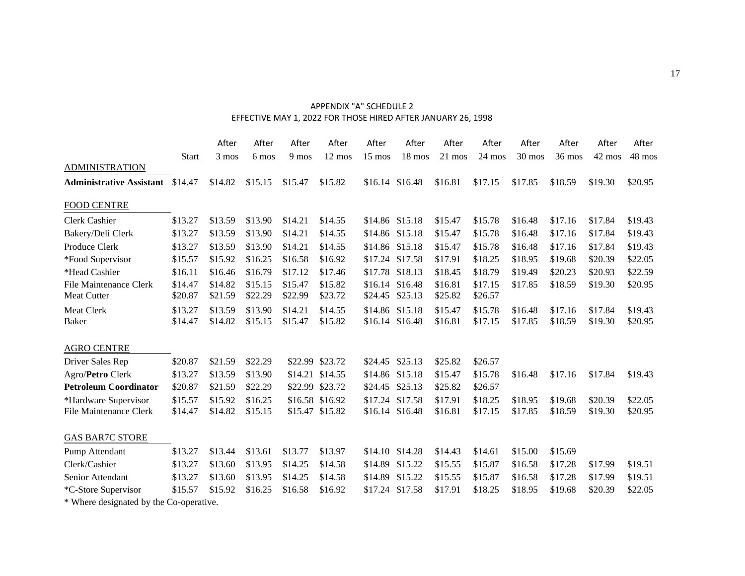#### APPENDIX "A" SCHEDULE 2 EFFECTIVE MAY 1, 2022 FOR THOSE HIRED AFTER JANUARY 26, 1998

|                                                     |                    | After              | After              | After              | After                              | After              | After                      | After              | After              | After              | After              | After              | After              |
|-----------------------------------------------------|--------------------|--------------------|--------------------|--------------------|------------------------------------|--------------------|----------------------------|--------------------|--------------------|--------------------|--------------------|--------------------|--------------------|
|                                                     | <b>Start</b>       | 3 mos              | 6 mos              | 9 mos              | 12 mos                             | 15 mos             | 18 mos                     | 21 mos             | 24 mos             | 30 mos             | 36 mos             | 42 mos             | 48 mos             |
| <b>ADMINISTRATION</b>                               |                    |                    |                    |                    |                                    |                    |                            |                    |                    |                    |                    |                    |                    |
| <b>Administrative Assistant</b>                     | \$14.47            | \$14.82            | \$15.15            | \$15.47            | \$15.82                            | \$16.14            | \$16.48                    | \$16.81            | \$17.15            | \$17.85            | \$18.59            | \$19.30            | \$20.95            |
| <b>FOOD CENTRE</b>                                  |                    |                    |                    |                    |                                    |                    |                            |                    |                    |                    |                    |                    |                    |
| <b>Clerk Cashier</b>                                | \$13.27            | \$13.59            | \$13.90            | \$14.21            | \$14.55                            |                    | \$14.86 \$15.18            | \$15.47            | \$15.78            | \$16.48            | \$17.16            | \$17.84            | \$19.43            |
| Bakery/Deli Clerk                                   | \$13.27            | \$13.59            | \$13.90            | \$14.21            | \$14.55                            |                    | \$14.86 \$15.18            | \$15.47            | \$15.78            | \$16.48            | \$17.16            | \$17.84            | \$19.43            |
| Produce Clerk                                       | \$13.27            | \$13.59            | \$13.90            | \$14.21            | \$14.55                            | \$14.86            | \$15.18                    | \$15.47            | \$15.78            | \$16.48            | \$17.16            | \$17.84            | \$19.43            |
| *Food Supervisor                                    | \$15.57            | \$15.92            | \$16.25            | \$16.58            | \$16.92                            | \$17.24            | \$17.58                    | \$17.91            | \$18.25            | \$18.95            | \$19.68            | \$20.39            | \$22.05            |
| *Head Cashier                                       | \$16.11            | \$16.46            | \$16.79            | \$17.12            | \$17.46                            |                    | \$17.78 \$18.13            | \$18.45            | \$18.79            | \$19.49            | \$20.23            | \$20.93            | \$22.59            |
| <b>File Maintenance Clerk</b><br><b>Meat Cutter</b> | \$14.47<br>\$20.87 | \$14.82<br>\$21.59 | \$15.15<br>\$22.29 | \$15.47<br>\$22.99 | \$15.82<br>\$23.72                 | \$16.14<br>\$24.45 | \$16.48<br>\$25.13         | \$16.81<br>\$25.82 | \$17.15<br>\$26.57 | \$17.85            | \$18.59            | \$19.30            | \$20.95            |
| <b>Meat Clerk</b><br>Baker                          | \$13.27<br>\$14.47 | \$13.59<br>\$14.82 | \$13.90<br>\$15.15 | \$14.21<br>\$15.47 | \$14.55<br>\$15.82                 | \$14.86            | \$15.18<br>\$16.14 \$16.48 | \$15.47<br>\$16.81 | \$15.78<br>\$17.15 | \$16.48<br>\$17.85 | \$17.16<br>\$18.59 | \$17.84<br>\$19.30 | \$19.43<br>\$20.95 |
| <b>AGRO CENTRE</b>                                  |                    |                    |                    |                    |                                    |                    |                            |                    |                    |                    |                    |                    |                    |
| Driver Sales Rep                                    | \$20.87            | \$21.59            | \$22.29            |                    | \$22.99 \$23.72                    | \$24.45            | \$25.13                    | \$25.82            | \$26.57            |                    |                    |                    |                    |
| Agro/Petro Clerk                                    | \$13.27            | \$13.59            | \$13.90            |                    | \$14.21 \$14.55                    | \$14.86            | \$15.18                    | \$15.47            | \$15.78            | \$16.48            | \$17.16            | \$17.84            | \$19.43            |
| <b>Petroleum Coordinator</b>                        | \$20.87            | \$21.59            | \$22.29            |                    | \$22.99 \$23.72                    | \$24.45            | \$25.13                    | \$25.82            | \$26.57            |                    |                    |                    |                    |
| *Hardware Supervisor<br>File Maintenance Clerk      | \$15.57<br>\$14.47 | \$15.92<br>\$14.82 | \$16.25<br>\$15.15 |                    | \$16.58 \$16.92<br>\$15.47 \$15.82 | \$17.24            | \$17.58<br>\$16.14 \$16.48 | \$17.91<br>\$16.81 | \$18.25<br>\$17.15 | \$18.95<br>\$17.85 | \$19.68<br>\$18.59 | \$20.39<br>\$19.30 | \$22.05<br>\$20.95 |
| <b>GAS BAR7C STORE</b>                              |                    |                    |                    |                    |                                    |                    |                            |                    |                    |                    |                    |                    |                    |
| Pump Attendant                                      | \$13.27            | \$13.44            | \$13.61            | \$13.77            | \$13.97                            | \$14.10            | \$14.28                    | \$14.43            | \$14.61            | \$15.00            | \$15.69            |                    |                    |
| Clerk/Cashier                                       | \$13.27            | \$13.60            | \$13.95            | \$14.25            | \$14.58                            | \$14.89            | \$15.22                    | \$15.55            | \$15.87            | \$16.58            | \$17.28            | \$17.99            | \$19.51            |
| Senior Attendant                                    | \$13.27            | \$13.60            | \$13.95            | \$14.25            | \$14.58                            | \$14.89            | \$15.22                    | \$15.55            | \$15.87            | \$16.58            | \$17.28            | \$17.99            | \$19.51            |
| *C-Store Supervisor                                 | \$15.57            | \$15.92            | \$16.25            | \$16.58            | \$16.92                            | \$17.24            | \$17.58                    | \$17.91            | \$18.25            | \$18.95            | \$19.68            | \$20.39            | \$22.05            |
| * Where designated by the Co-operative.             |                    |                    |                    |                    |                                    |                    |                            |                    |                    |                    |                    |                    |                    |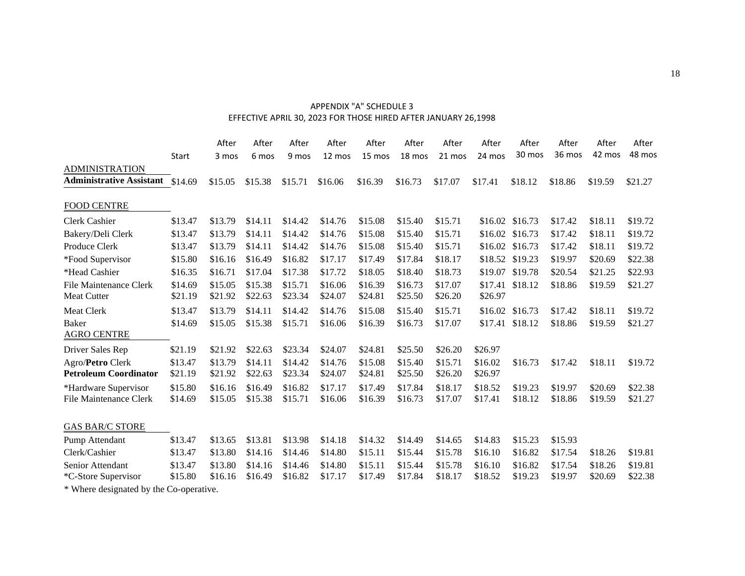#### APPENDIX "A" SCHEDULE 3 EFFECTIVE APRIL 30, 2023 FOR THOSE HIRED AFTER JANUARY 26,1998

|                                                       |                    | After              | After              | After              | After              | After              | After              | After              | After              | After              | After              | After              | After              |
|-------------------------------------------------------|--------------------|--------------------|--------------------|--------------------|--------------------|--------------------|--------------------|--------------------|--------------------|--------------------|--------------------|--------------------|--------------------|
|                                                       | <b>Start</b>       | 3 mos              | 6 mos              | 9 mos              | 12 mos             | 15 mos             | 18 mos             | 21 mos             | 24 mos             | 30 mos             | 36 mos             | 42 mos             | 48 mos             |
| <b>ADMINISTRATION</b>                                 |                    |                    |                    |                    |                    |                    |                    |                    |                    |                    |                    |                    |                    |
| <b>Administrative Assistant</b>                       | \$14.69            | \$15.05            | \$15.38            | \$15.71            | \$16.06            | \$16.39            | \$16.73            | \$17.07            | \$17.41            | \$18.12            | \$18.86            | \$19.59            | \$21.27            |
| <b>FOOD CENTRE</b>                                    |                    |                    |                    |                    |                    |                    |                    |                    |                    |                    |                    |                    |                    |
| Clerk Cashier                                         | \$13.47            | \$13.79            | \$14.11            | \$14.42            | \$14.76            | \$15.08            | \$15.40            | \$15.71            |                    | \$16.02 \$16.73    | \$17.42            | \$18.11            | \$19.72            |
| Bakery/Deli Clerk                                     | \$13.47            | \$13.79            | \$14.11            | \$14.42            | \$14.76            | \$15.08            | \$15.40            | \$15.71            |                    | \$16.02 \$16.73    | \$17.42            | \$18.11            | \$19.72            |
| Produce Clerk                                         | \$13.47            | \$13.79            | \$14.11            | \$14.42            | \$14.76            | \$15.08            | \$15.40            | \$15.71            | \$16.02            | \$16.73            | \$17.42            | \$18.11            | \$19.72            |
| *Food Supervisor                                      | \$15.80            | \$16.16            | \$16.49            | \$16.82            | \$17.17            | \$17.49            | \$17.84            | \$18.17            |                    | \$18.52 \$19.23    | \$19.97            | \$20.69            | \$22.38            |
| *Head Cashier                                         | \$16.35            | \$16.71            | \$17.04            | \$17.38            | \$17.72            | \$18.05            | \$18.40            | \$18.73            | \$19.07            | \$19.78            | \$20.54            | \$21.25            | \$22.93            |
| File Maintenance Clerk<br><b>Meat Cutter</b>          | \$14.69<br>\$21.19 | \$15.05<br>\$21.92 | \$15.38<br>\$22.63 | \$15.71<br>\$23.34 | \$16.06<br>\$24.07 | \$16.39<br>\$24.81 | \$16.73<br>\$25.50 | \$17.07<br>\$26.20 | \$17.41<br>\$26.97 | \$18.12            | \$18.86            | \$19.59            | \$21.27            |
| Meat Clerk                                            | \$13.47            | \$13.79            | \$14.11            | \$14.42            | \$14.76            | \$15.08            | \$15.40            | \$15.71            | \$16.02            | \$16.73            | \$17.42            | \$18.11            | \$19.72            |
| <b>Baker</b><br><b>AGRO CENTRE</b>                    | \$14.69            | \$15.05            | \$15.38            | \$15.71            | \$16.06            | \$16.39            | \$16.73            | \$17.07            |                    | \$17.41 \$18.12    | \$18.86            | \$19.59            | \$21.27            |
| Driver Sales Rep                                      | \$21.19            | \$21.92            | \$22.63            | \$23.34            | \$24.07            | \$24.81            | \$25.50            | \$26.20            | \$26.97            |                    |                    |                    |                    |
| Agro/Petro Clerk<br><b>Petroleum Coordinator</b>      | \$13.47<br>\$21.19 | \$13.79<br>\$21.92 | \$14.11<br>\$22.63 | \$14.42<br>\$23.34 | \$14.76<br>\$24.07 | \$15.08<br>\$24.81 | \$15.40<br>\$25.50 | \$15.71<br>\$26.20 | \$16.02<br>\$26.97 | \$16.73            | \$17.42            | \$18.11            | \$19.72            |
| *Hardware Supervisor<br><b>File Maintenance Clerk</b> | \$15.80<br>\$14.69 | \$16.16<br>\$15.05 | \$16.49<br>\$15.38 | \$16.82<br>\$15.71 | \$17.17<br>\$16.06 | \$17.49<br>\$16.39 | \$17.84<br>\$16.73 | \$18.17<br>\$17.07 | \$18.52<br>\$17.41 | \$19.23<br>\$18.12 | \$19.97<br>\$18.86 | \$20.69<br>\$19.59 | \$22.38<br>\$21.27 |
| <b>GAS BAR/C STORE</b>                                |                    |                    |                    |                    |                    |                    |                    |                    |                    |                    |                    |                    |                    |
| Pump Attendant                                        | \$13.47            | \$13.65            | \$13.81            | \$13.98            | \$14.18            | \$14.32            | \$14.49            | \$14.65            | \$14.83            | \$15.23            | \$15.93            |                    |                    |
| Clerk/Cashier                                         | \$13.47            | \$13.80            | \$14.16            | \$14.46            | \$14.80            | \$15.11            | \$15.44            | \$15.78            | \$16.10            | \$16.82            | \$17.54            | \$18.26            | \$19.81            |
| Senior Attendant                                      | \$13.47            | \$13.80            | \$14.16            | \$14.46            | \$14.80            | \$15.11            | \$15.44            | \$15.78            | \$16.10            | \$16.82            | \$17.54            | \$18.26            | \$19.81            |
| *C-Store Supervisor                                   | \$15.80            | \$16.16            | \$16.49            | \$16.82            | \$17.17            | \$17.49            | \$17.84            | \$18.17            | \$18.52            | \$19.23            | \$19.97            | \$20.69            | \$22.38            |
| * Where designated by the Co-operative.               |                    |                    |                    |                    |                    |                    |                    |                    |                    |                    |                    |                    |                    |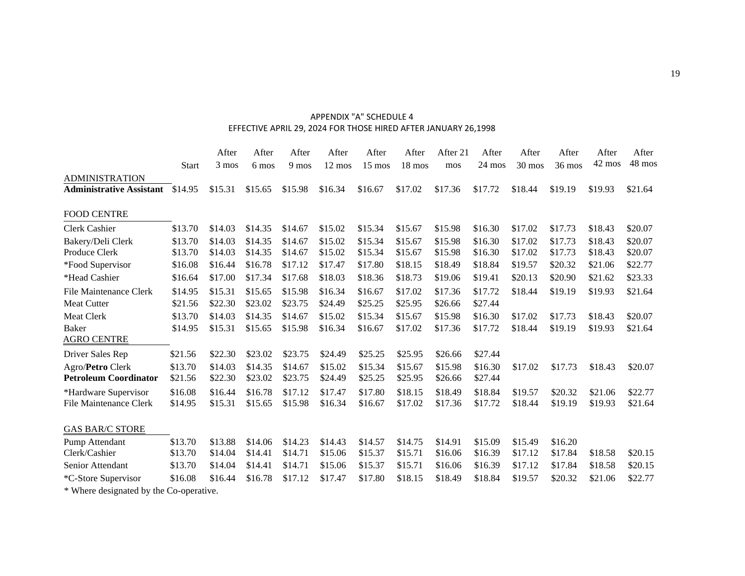#### APPENDIX "A" SCHEDULE 4 EFFECTIVE APRIL 29, 2024 FOR THOSE HIRED AFTER JANUARY 26,1998

|                                                          |                    | After              | After              | After              | After              | After              | After              | After 21           | After              | After              | After              | After              | After              |
|----------------------------------------------------------|--------------------|--------------------|--------------------|--------------------|--------------------|--------------------|--------------------|--------------------|--------------------|--------------------|--------------------|--------------------|--------------------|
|                                                          | <b>Start</b>       | 3 mos              | 6 mos              | 9 mos              | 12 mos             | 15 mos             | 18 mos             | mos                | 24 mos             | 30 mos             | 36 mos             | 42 mos             | 48 mos             |
| <b>ADMINISTRATION</b><br><b>Administrative Assistant</b> | \$14.95            | \$15.31            | \$15.65            | \$15.98            | \$16.34            | \$16.67            | \$17.02            | \$17.36            | \$17.72            | \$18.44            | \$19.19            | \$19.93            | \$21.64            |
| <b>FOOD CENTRE</b>                                       |                    |                    |                    |                    |                    |                    |                    |                    |                    |                    |                    |                    |                    |
| Clerk Cashier                                            | \$13.70            | \$14.03            | \$14.35            | \$14.67            | \$15.02            | \$15.34            | \$15.67            | \$15.98            | \$16.30            | \$17.02            | \$17.73            | \$18.43            | \$20.07            |
| Bakery/Deli Clerk<br>Produce Clerk                       | \$13.70<br>\$13.70 | \$14.03<br>\$14.03 | \$14.35<br>\$14.35 | \$14.67<br>\$14.67 | \$15.02<br>\$15.02 | \$15.34<br>\$15.34 | \$15.67<br>\$15.67 | \$15.98<br>\$15.98 | \$16.30<br>\$16.30 | \$17.02<br>\$17.02 | \$17.73<br>\$17.73 | \$18.43<br>\$18.43 | \$20.07<br>\$20.07 |
| *Food Supervisor                                         | \$16.08            | \$16.44            | \$16.78            | \$17.12            | \$17.47            | \$17.80            | \$18.15            | \$18.49            | \$18.84            | \$19.57            | \$20.32            | \$21.06            | \$22.77            |
| *Head Cashier                                            | \$16.64            | \$17.00            | \$17.34            | \$17.68            | \$18.03            | \$18.36            | \$18.73            | \$19.06            | \$19.41            | \$20.13            | \$20.90            | \$21.62            | \$23.33            |
| <b>File Maintenance Clerk</b>                            | \$14.95            | \$15.31            | \$15.65            | \$15.98            | \$16.34            | \$16.67            | \$17.02            | \$17.36            | \$17.72            | \$18.44            | \$19.19            | \$19.93            | \$21.64            |
| <b>Meat Cutter</b>                                       | \$21.56            | \$22.30            | \$23.02            | \$23.75            | \$24.49            | \$25.25            | \$25.95            | \$26.66            | \$27.44            |                    |                    |                    |                    |
| Meat Clerk                                               | \$13.70            | \$14.03            | \$14.35            | \$14.67            | \$15.02            | \$15.34            | \$15.67            | \$15.98            | \$16.30            | \$17.02            | \$17.73            | \$18.43            | \$20.07            |
| Baker<br><b>AGRO CENTRE</b>                              | \$14.95            | \$15.31            | \$15.65            | \$15.98            | \$16.34            | \$16.67            | \$17.02            | \$17.36            | \$17.72            | \$18.44            | \$19.19            | \$19.93            | \$21.64            |
| Driver Sales Rep                                         | \$21.56            | \$22.30            | \$23.02            | \$23.75            | \$24.49            | \$25.25            | \$25.95            | \$26.66            | \$27.44            |                    |                    |                    |                    |
| Agro/Petro Clerk<br><b>Petroleum Coordinator</b>         | \$13.70<br>\$21.56 | \$14.03<br>\$22.30 | \$14.35<br>\$23.02 | \$14.67<br>\$23.75 | \$15.02<br>\$24.49 | \$15.34<br>\$25.25 | \$15.67<br>\$25.95 | \$15.98<br>\$26.66 | \$16.30<br>\$27.44 | \$17.02            | \$17.73            | \$18.43            | \$20.07            |
| *Hardware Supervisor<br><b>File Maintenance Clerk</b>    | \$16.08<br>\$14.95 | \$16.44<br>\$15.31 | \$16.78<br>\$15.65 | \$17.12<br>\$15.98 | \$17.47<br>\$16.34 | \$17.80<br>\$16.67 | \$18.15<br>\$17.02 | \$18.49<br>\$17.36 | \$18.84<br>\$17.72 | \$19.57<br>\$18.44 | \$20.32<br>\$19.19 | \$21.06<br>\$19.93 | \$22.77<br>\$21.64 |
| <b>GAS BAR/C STORE</b>                                   |                    |                    |                    |                    |                    |                    |                    |                    |                    |                    |                    |                    |                    |
| Pump Attendant<br>Clerk/Cashier                          | \$13.70<br>\$13.70 | \$13.88<br>\$14.04 | \$14.06<br>\$14.41 | \$14.23<br>\$14.71 | \$14.43<br>\$15.06 | \$14.57<br>\$15.37 | \$14.75<br>\$15.71 | \$14.91<br>\$16.06 | \$15.09<br>\$16.39 | \$15.49<br>\$17.12 | \$16.20<br>\$17.84 | \$18.58            | \$20.15            |
| Senior Attendant                                         | \$13.70            | \$14.04            | \$14.41            | \$14.71            | \$15.06            | \$15.37            | \$15.71            | \$16.06            | \$16.39            | \$17.12            | \$17.84            | \$18.58            | \$20.15            |
| *C-Store Supervisor                                      | \$16.08            | \$16.44            | \$16.78            | \$17.12            | \$17.47            | \$17.80            | \$18.15            | \$18.49            | \$18.84            | \$19.57            | \$20.32            | \$21.06            | \$22.77            |
| * Where designated by the Co-operative.                  |                    |                    |                    |                    |                    |                    |                    |                    |                    |                    |                    |                    |                    |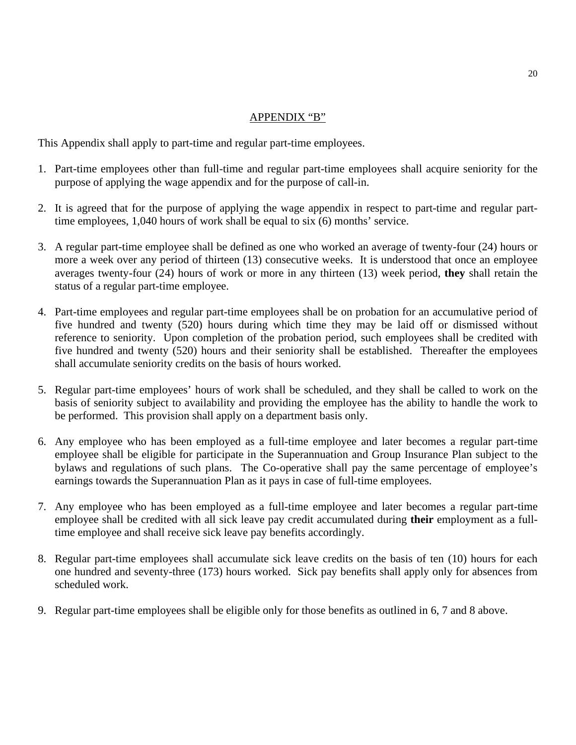#### APPENDIX "B"

This Appendix shall apply to part-time and regular part-time employees.

- 1. Part-time employees other than full-time and regular part-time employees shall acquire seniority for the purpose of applying the wage appendix and for the purpose of call-in.
- 2. It is agreed that for the purpose of applying the wage appendix in respect to part-time and regular parttime employees, 1,040 hours of work shall be equal to six (6) months' service.
- 3. A regular part-time employee shall be defined as one who worked an average of twenty-four (24) hours or more a week over any period of thirteen (13) consecutive weeks. It is understood that once an employee averages twenty-four (24) hours of work or more in any thirteen (13) week period, **they** shall retain the status of a regular part-time employee.
- 4. Part-time employees and regular part-time employees shall be on probation for an accumulative period of five hundred and twenty (520) hours during which time they may be laid off or dismissed without reference to seniority. Upon completion of the probation period, such employees shall be credited with five hundred and twenty (520) hours and their seniority shall be established. Thereafter the employees shall accumulate seniority credits on the basis of hours worked.
- 5. Regular part-time employees' hours of work shall be scheduled, and they shall be called to work on the basis of seniority subject to availability and providing the employee has the ability to handle the work to be performed. This provision shall apply on a department basis only.
- 6. Any employee who has been employed as a full-time employee and later becomes a regular part-time employee shall be eligible for participate in the Superannuation and Group Insurance Plan subject to the bylaws and regulations of such plans. The Co-operative shall pay the same percentage of employee's earnings towards the Superannuation Plan as it pays in case of full-time employees.
- 7. Any employee who has been employed as a full-time employee and later becomes a regular part-time employee shall be credited with all sick leave pay credit accumulated during **their** employment as a fulltime employee and shall receive sick leave pay benefits accordingly.
- 8. Regular part-time employees shall accumulate sick leave credits on the basis of ten (10) hours for each one hundred and seventy-three (173) hours worked. Sick pay benefits shall apply only for absences from scheduled work.
- 9. Regular part-time employees shall be eligible only for those benefits as outlined in 6, 7 and 8 above.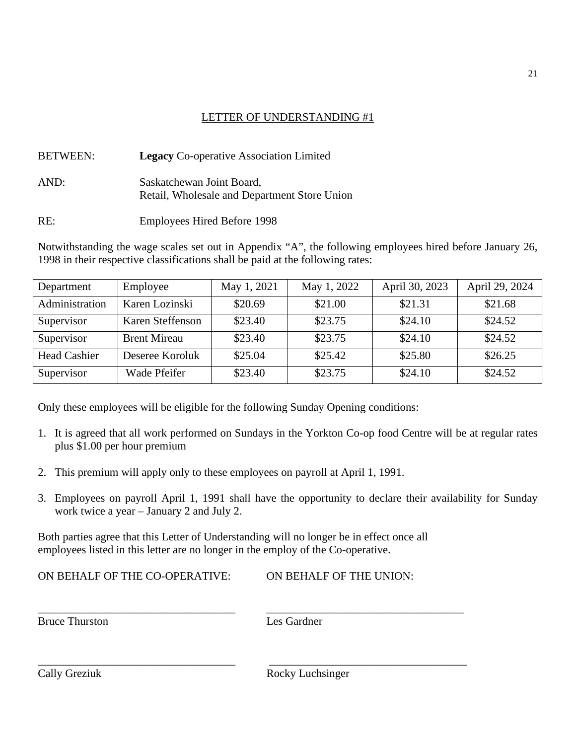#### LETTER OF UNDERSTANDING #1

| <b>BETWEEN:</b> | <b>Legacy</b> Co-operative Association Limited                            |
|-----------------|---------------------------------------------------------------------------|
| AND:            | Saskatchewan Joint Board,<br>Retail, Wholesale and Department Store Union |

RE: Employees Hired Before 1998

Notwithstanding the wage scales set out in Appendix "A", the following employees hired before January 26, 1998 in their respective classifications shall be paid at the following rates:

| Department          | Employee            | May 1, 2021 | May 1, 2022 | April 30, 2023 | April 29, 2024 |
|---------------------|---------------------|-------------|-------------|----------------|----------------|
| Administration      | Karen Lozinski      | \$20.69     | \$21.00     | \$21.31        | \$21.68        |
| Supervisor          | Karen Steffenson    | \$23.40     | \$23.75     | \$24.10        | \$24.52        |
| Supervisor          | <b>Brent Mireau</b> | \$23.40     | \$23.75     | \$24.10        | \$24.52        |
| <b>Head Cashier</b> | Deseree Koroluk     | \$25.04     | \$25.42     | \$25.80        | \$26.25        |
| Supervisor          | Wade Pfeifer        | \$23.40     | \$23.75     | \$24.10        | \$24.52        |

Only these employees will be eligible for the following Sunday Opening conditions:

- 1. It is agreed that all work performed on Sundays in the Yorkton Co-op food Centre will be at regular rates plus \$1.00 per hour premium
- 2. This premium will apply only to these employees on payroll at April 1, 1991.
- 3. Employees on payroll April 1, 1991 shall have the opportunity to declare their availability for Sunday work twice a year – January 2 and July 2.

Both parties agree that this Letter of Understanding will no longer be in effect once all employees listed in this letter are no longer in the employ of the Co-operative.

*\_\_\_\_\_\_\_\_\_\_\_\_\_\_\_\_\_\_\_\_\_\_\_\_\_\_\_\_\_\_\_\_\_\_\_ \_\_\_\_\_\_\_\_\_\_\_\_\_\_\_\_\_\_\_\_\_\_\_\_\_\_\_\_\_\_\_\_\_\_\_*

*\_\_\_\_\_\_\_\_\_\_\_\_\_\_\_\_\_\_\_\_\_\_\_\_\_\_\_\_\_\_\_\_\_\_\_ \_\_\_\_\_\_\_\_\_\_\_\_\_\_\_\_\_\_\_\_\_\_\_\_\_\_\_\_\_\_\_\_\_\_\_*

ON BEHALF OF THE CO-OPERATIVE: ON BEHALF OF THE UNION:

Les Gardner

21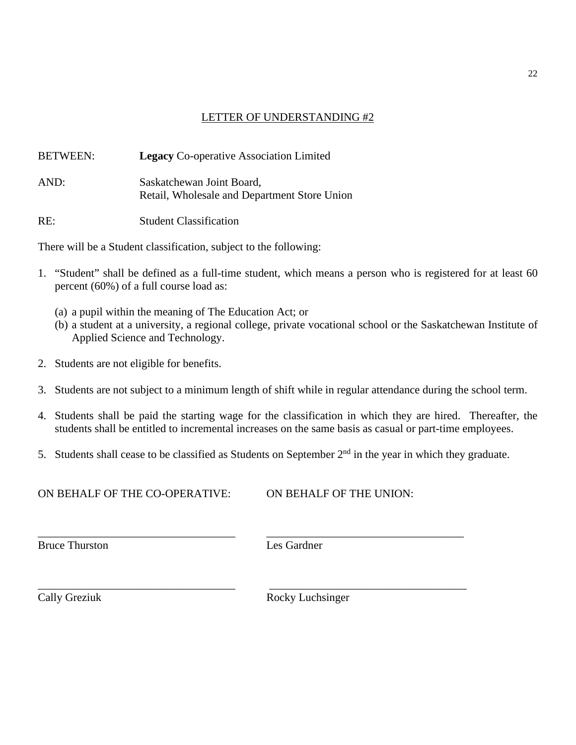#### LETTER OF UNDERSTANDING #2

| <b>BETWEEN:</b> | <b>Legacy</b> Co-operative Association Limited                            |
|-----------------|---------------------------------------------------------------------------|
| AND:            | Saskatchewan Joint Board,<br>Retail, Wholesale and Department Store Union |
| RE:             | <b>Student Classification</b>                                             |

There will be a Student classification, subject to the following:

- 1. "Student" shall be defined as a full-time student, which means a person who is registered for at least 60 percent (60%) of a full course load as:
	- (a) a pupil within the meaning of The Education Act; or
	- (b) a student at a university, a regional college, private vocational school or the Saskatchewan Institute of Applied Science and Technology.
- 2. Students are not eligible for benefits.
- 3. Students are not subject to a minimum length of shift while in regular attendance during the school term.
- 4. Students shall be paid the starting wage for the classification in which they are hired. Thereafter, the students shall be entitled to incremental increases on the same basis as casual or part-time employees.
- 5. Students shall cease to be classified as Students on September  $2<sup>nd</sup>$  in the year in which they graduate.

ON BEHALF OF THE CO-OPERATIVE: ON BEHALF OF THE UNION:

*\_\_\_\_\_\_\_\_\_\_\_\_\_\_\_\_\_\_\_\_\_\_\_\_\_\_\_\_\_\_\_\_\_\_\_ \_\_\_\_\_\_\_\_\_\_\_\_\_\_\_\_\_\_\_\_\_\_\_\_\_\_\_\_\_\_\_\_\_\_\_*

*\_\_\_\_\_\_\_\_\_\_\_\_\_\_\_\_\_\_\_\_\_\_\_\_\_\_\_\_\_\_\_\_\_\_\_ \_\_\_\_\_\_\_\_\_\_\_\_\_\_\_\_\_\_\_\_\_\_\_\_\_\_\_\_\_\_\_\_\_\_\_*

Bruce Thurston Les Gardner